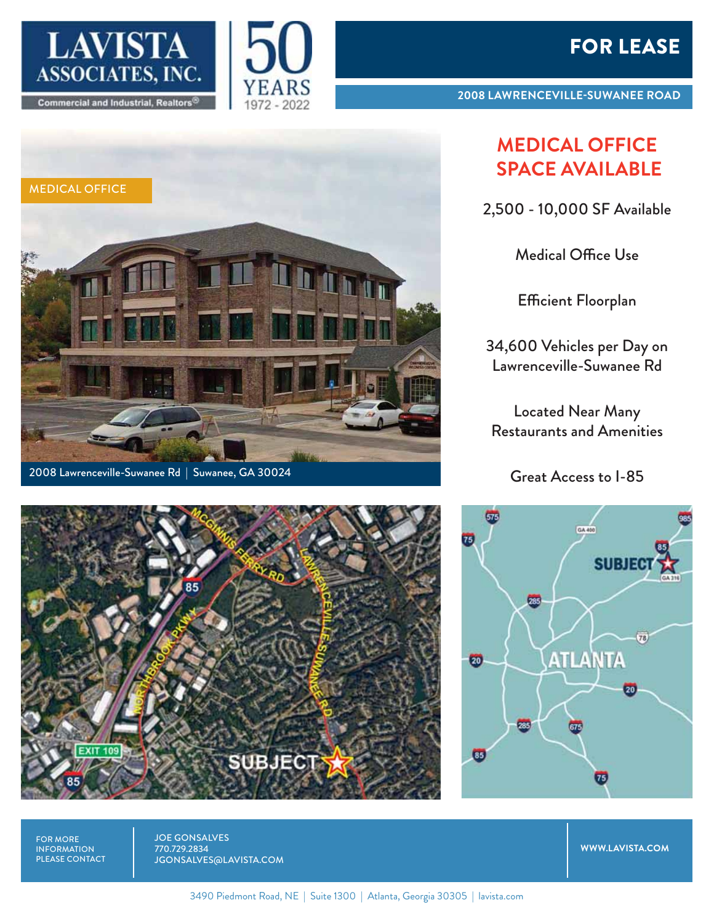

MEDICAL OFFICE



**2008 LAWRENCEVILLE-SUWANEE ROAD**

## **MEDICAL OFFICE SPACE AVAILABLE**

2,500 - 10,000 SF Available

Medical Office Use

Efficient Floorplan

34,600 Vehicles per Day on Lawrenceville-Suwanee Rd

Located Near Many Restaurants and Amenities

Great Access to I-85



FOR MORE INFORMATION PLEASE CONTACT

**EXIT 109** 

JOE GONSALVES 770.729.2834 JGONSALVES@LAVISTA.COM

**SUBJECT** 

**WWW.LAVISTA.COM**



**LETTER** 

3490 Piedmont Road, NE | Suite 1300 | Atlanta, Georgia 30305 | lavista.com